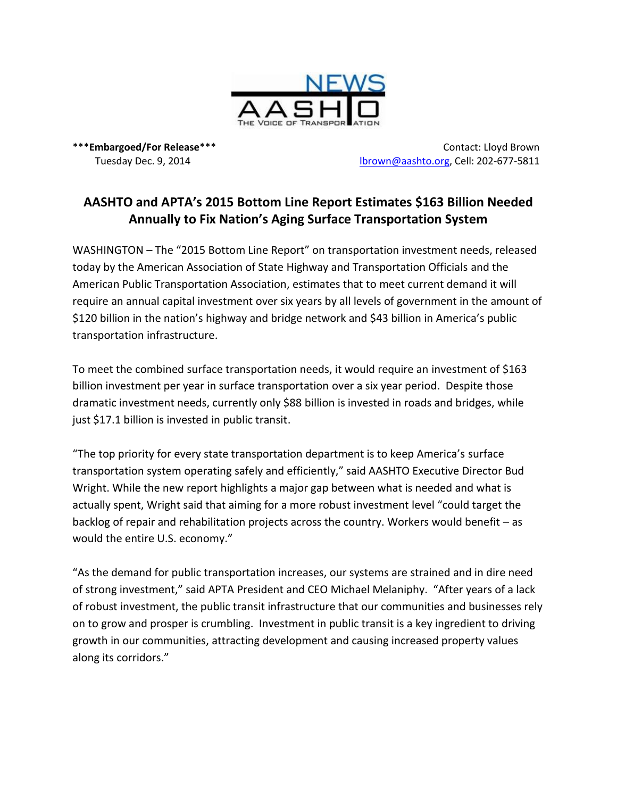

\*\*\***Embargoed/For Release**\*\*\* Contact: Lloyd Brown Tuesday Dec. 9, 2014 **in the state of the Caucasian Control** brown@aashto.org, Cell: 202-677-5811

## **AASHTO and APTA's 2015 Bottom Line Report Estimates \$163 Billion Needed Annually to Fix Nation's Aging Surface Transportation System**

WASHINGTON – The "2015 Bottom Line Report" on transportation investment needs, released today by the American Association of State Highway and Transportation Officials and the American Public Transportation Association, estimates that to meet current demand it will require an annual capital investment over six years by all levels of government in the amount of \$120 billion in the nation's highway and bridge network and \$43 billion in America's public transportation infrastructure.

To meet the combined surface transportation needs, it would require an investment of \$163 billion investment per year in surface transportation over a six year period. Despite those dramatic investment needs, currently only \$88 billion is invested in roads and bridges, while just \$17.1 billion is invested in public transit.

"The top priority for every state transportation department is to keep America's surface transportation system operating safely and efficiently," said AASHTO Executive Director Bud Wright. While the new report highlights a major gap between what is needed and what is actually spent, Wright said that aiming for a more robust investment level "could target the backlog of repair and rehabilitation projects across the country. Workers would benefit – as would the entire U.S. economy."

"As the demand for public transportation increases, our systems are strained and in dire need of strong investment," said APTA President and CEO Michael Melaniphy. "After years of a lack of robust investment, the public transit infrastructure that our communities and businesses rely on to grow and prosper is crumbling. Investment in public transit is a key ingredient to driving growth in our communities, attracting development and causing increased property values along its corridors."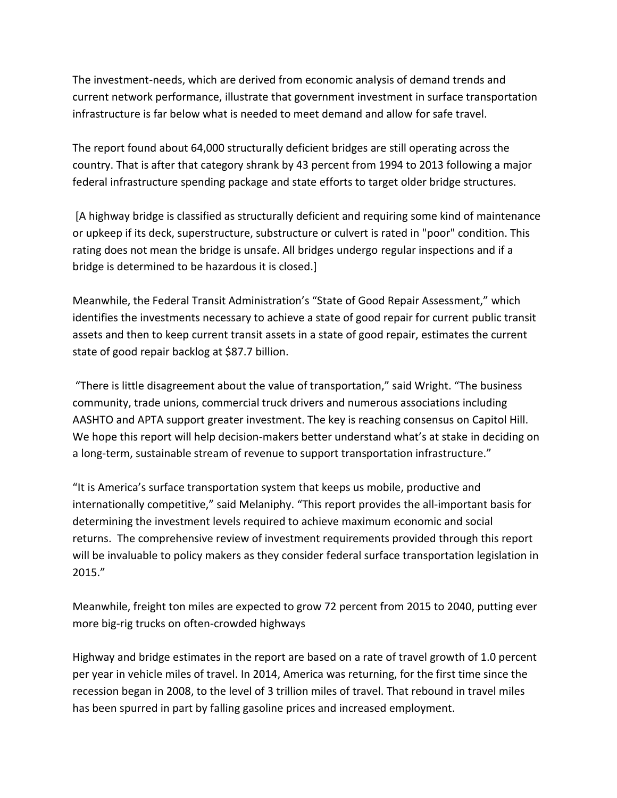The investment-needs, which are derived from economic analysis of demand trends and current network performance, illustrate that government investment in surface transportation infrastructure is far below what is needed to meet demand and allow for safe travel.

The report found about 64,000 structurally deficient bridges are still operating across the country. That is after that category shrank by 43 percent from 1994 to 2013 following a major federal infrastructure spending package and state efforts to target older bridge structures.

[A highway bridge is classified as structurally deficient and requiring some kind of maintenance or upkeep if its deck, superstructure, substructure or culvert is rated in "poor" condition. This rating does not mean the bridge is unsafe. All bridges undergo regular inspections and if a bridge is determined to be hazardous it is closed.]

Meanwhile, the Federal Transit Administration's "State of Good Repair Assessment," which identifies the investments necessary to achieve a state of good repair for current public transit assets and then to keep current transit assets in a state of good repair, estimates the current state of good repair backlog at \$87.7 billion.

"There is little disagreement about the value of transportation," said Wright. "The business community, trade unions, commercial truck drivers and numerous associations including AASHTO and APTA support greater investment. The key is reaching consensus on Capitol Hill. We hope this report will help decision-makers better understand what's at stake in deciding on a long-term, sustainable stream of revenue to support transportation infrastructure."

"It is America's surface transportation system that keeps us mobile, productive and internationally competitive," said Melaniphy. "This report provides the all-important basis for determining the investment levels required to achieve maximum economic and social returns. The comprehensive review of investment requirements provided through this report will be invaluable to policy makers as they consider federal surface transportation legislation in 2015."

Meanwhile, freight ton miles are expected to grow 72 percent from 2015 to 2040, putting ever more big-rig trucks on often-crowded highways

Highway and bridge estimates in the report are based on a rate of travel growth of 1.0 percent per year in vehicle miles of travel. In 2014, America was returning, for the first time since the recession began in 2008, to the level of 3 trillion miles of travel. That rebound in travel miles has been spurred in part by falling gasoline prices and increased employment.